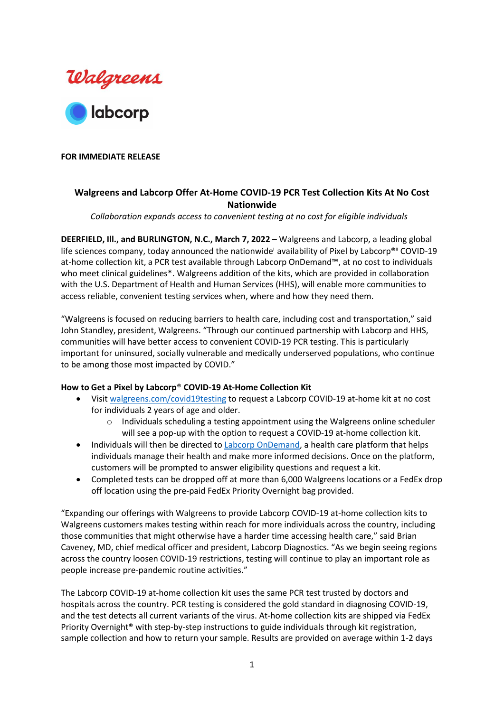

## **FOR IMMEDIATE RELEASE**

# **Walgreens and Labcorp Offer At-Home COVID-19 PCR Test Collection Kits At No Cost Nationwide**

*Collaboration expands access to convenient testing at no cost for eligible individuals* 

**DEERFIELD, Ill., and BURLINGTON, N.C., March 7, 2022** – Walgreens and Labcorp, a leading global life sciences company, today announced the nationwide<sup>i</sup> availability of Pixel by Labcorp<sup>®ii</sup> COVID-19 at-home collection kit, a PCR test available through Labcorp OnDemand™, at no cost to individuals who meet clinical guidelines\*. Walgreens addition of the kits, which are provided in collaboration with the U.S. Department of Health and Human Services (HHS), will enable more communities to access reliable, convenient testing services when, where and how they need them.

"Walgreens is focused on reducing barriers to health care, including cost and transportation," said John Standley, president, Walgreens. "Through our continued partnership with Labcorp and HHS, communities will have better access to convenient COVID-19 PCR testing. This is particularly important for uninsured, socially vulnerable and medically underserved populations, who continue to be among those most impacted by COVID."

### **How to Get a Pixel by Labcorp**® **COVID-19 At-Home Collection Kit**

- Visit [walgreens.com/covid19testing](http://www.walgreens.com/covid19testing) to request a Labcorp COVID-19 at-home kit at no cost for individuals 2 years of age and older.
	- $\circ$  Individuals scheduling a testing appointment using the Walgreens online scheduler will see a pop-up with the option to request a COVID-19 at-home collection kit.
- Individuals will then be directed to [Labcorp OnDemand,](https://www.ondemand.labcorp.com/walgreens?utm_source=walgreens&utm_medium=referral&utm_campaign=hhs) a health care platform that helps individuals manage their health and make more informed decisions. Once on the platform, customers will be prompted to answer eligibility questions and request a kit.
- Completed tests can be dropped off at more than 6,000 Walgreens locations or a FedEx drop off location using the pre-paid FedEx Priority Overnight bag provided.

"Expanding our offerings with Walgreens to provide Labcorp COVID-19 at-home collection kits to Walgreens customers makes testing within reach for more individuals across the country, including those communities that might otherwise have a harder time accessing health care," said Brian Caveney, MD, chief medical officer and president, Labcorp Diagnostics. "As we begin seeing regions across the country loosen COVID-19 restrictions, testing will continue to play an important role as people increase pre-pandemic routine activities."

The Labcorp COVID-19 at-home collection kit uses the same PCR test trusted by doctors and hospitals across the country. PCR testing is considered the gold standard in diagnosing COVID-19, and the test detects all current variants of the virus. At-home collection kits are shipped via FedEx Priority Overnight® with step-by-step instructions to guide individuals through kit registration, sample collection and how to return your sample. Results are provided on average within 1-2 days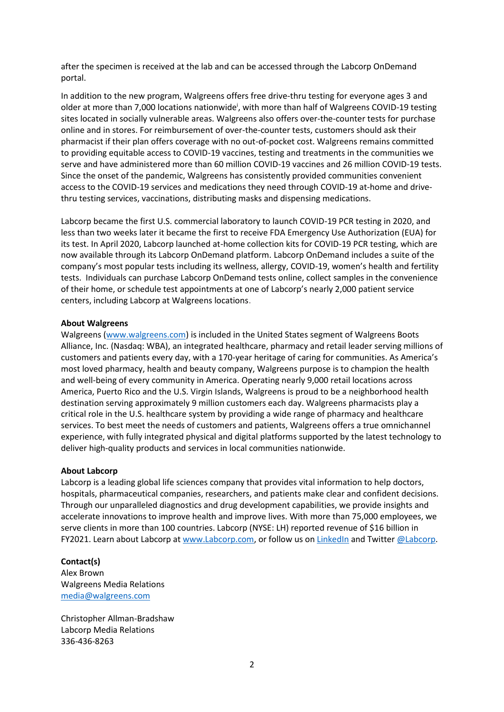after the specimen is received at the lab and can be accessed through the Labcorp OnDemand portal.

In addition to the new program, Walgreens offers free drive-thru testing for everyone ages 3 and older at more than 7,000 locations nationwide<sup>i</sup>, with more than half of Walgreens COVID-19 testing sites located in socially vulnerable areas. Walgreens also offers over-the-counter tests for purchase online and in stores. For reimbursement of over-the-counter tests, customers should ask their pharmacist if their plan offers coverage with no out-of-pocket cost. Walgreens remains committed to providing equitable access to COVID-19 vaccines, testing and treatments in the communities we serve and have administered more than 60 million COVID-19 vaccines and 26 million COVID-19 tests. Since the onset of the pandemic, Walgreens has consistently provided communities convenient access to the COVID-19 services and medications they need through COVID-19 at-home and drivethru testing services, vaccinations, distributing masks and dispensing medications.

Labcorp became the first U.S. commercial laboratory to launch COVID-19 PCR testing in 2020, and less than two weeks later it became the first to receive FDA Emergency Use Authorization (EUA) for its test. In April 2020, Labcorp launched at-home collection kits for COVID-19 PCR testing, which are now available through its Labcorp OnDemand platform. Labcorp OnDemand includes a suite of the company's most popular tests including its wellness, allergy, COVID-19, women's health and fertility tests. Individuals can purchase Labcorp OnDemand tests online, collect samples in the convenience of their home, or schedule test appointments at one of Labcorp's nearly 2,000 patient service centers, including Labcorp at Walgreens locations.

#### **About Walgreens**

Walgreens [\(www.walgreens.com\)](http://www.walgreens.com/) is included in the United States segment of Walgreens Boots Alliance, Inc. (Nasdaq: WBA), an integrated healthcare, pharmacy and retail leader serving millions of customers and patients every day, with a 170-year heritage of caring for communities. As America's most loved pharmacy, health and beauty company, Walgreens purpose is to champion the health and well-being of every community in America. Operating nearly 9,000 retail locations across America, Puerto Rico and the U.S. Virgin Islands, Walgreens is proud to be a neighborhood health destination serving approximately 9 million customers each day. Walgreens pharmacists play a critical role in the U.S. healthcare system by providing a wide range of pharmacy and healthcare services. To best meet the needs of customers and patients, Walgreens offers a true omnichannel experience, with fully integrated physical and digital platforms supported by the latest technology to deliver high-quality products and services in local communities nationwide.

#### **About Labcorp**

Labcorp is a leading global life sciences company that provides vital information to help doctors, hospitals, pharmaceutical companies, researchers, and patients make clear and confident decisions. Through our unparalleled diagnostics and drug development capabilities, we provide insights and accelerate innovations to improve health and improve lives. With more than 75,000 employees, we serve clients in more than 100 countries. Labcorp (NYSE: LH) reported revenue of \$16 billion in FY2021. Learn about Labcorp at [www.Labcorp.com,](https://www.labcorp.com/) or follow us on [LinkedIn](https://www.linkedin.com/company/labcorp) and Twitter [@Labcorp.](http://www.twitter.com/Labcorp)

#### **Contact(s)**

Alex Brown Walgreens Media Relations [media@walgreens.com](mailto:media@walgreens.com) 

Christopher Allman-Bradshaw Labcorp Media Relations 336-436-8263